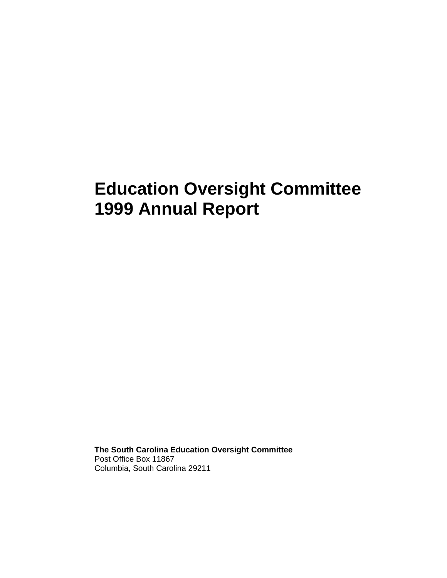# **Education Oversight Committee 1999 Annual Report**

**The South Carolina Education Oversight Committee**  Post Office Box 11867 Columbia, South Carolina 29211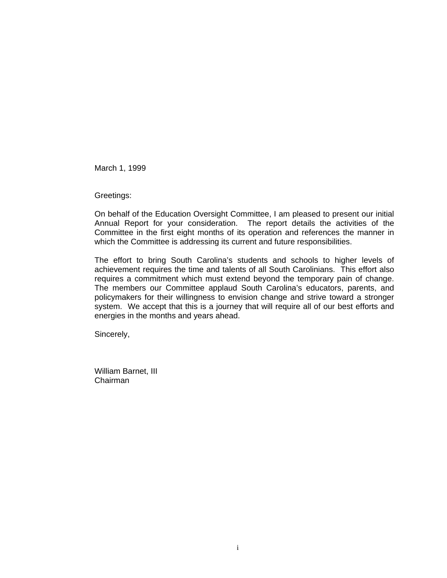March 1, 1999

Greetings:

On behalf of the Education Oversight Committee, I am pleased to present our initial Annual Report for your consideration. The report details the activities of the Committee in the first eight months of its operation and references the manner in which the Committee is addressing its current and future responsibilities.

The effort to bring South Carolina's students and schools to higher levels of achievement requires the time and talents of all South Carolinians. This effort also requires a commitment which must extend beyond the temporary pain of change. The members our Committee applaud South Carolina's educators, parents, and policymakers for their willingness to envision change and strive toward a stronger system. We accept that this is a journey that will require all of our best efforts and energies in the months and years ahead.

Sincerely,

William Barnet, III Chairman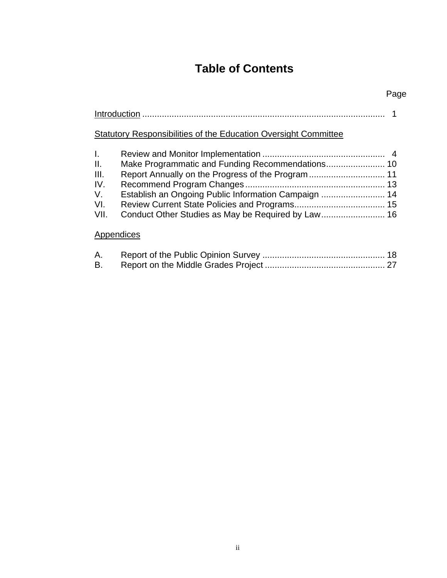# **Table of Contents**

## Page

## Statutory Responsibilities of the Education Oversight Committee

| L.   |                                                      |  |
|------|------------------------------------------------------|--|
| II.  |                                                      |  |
| III. |                                                      |  |
| IV.  |                                                      |  |
| V.   | Establish an Ongoing Public Information Campaign  14 |  |
| VI.  |                                                      |  |
| VII. |                                                      |  |
|      |                                                      |  |

### **Appendices**

| А. |  |
|----|--|
|    |  |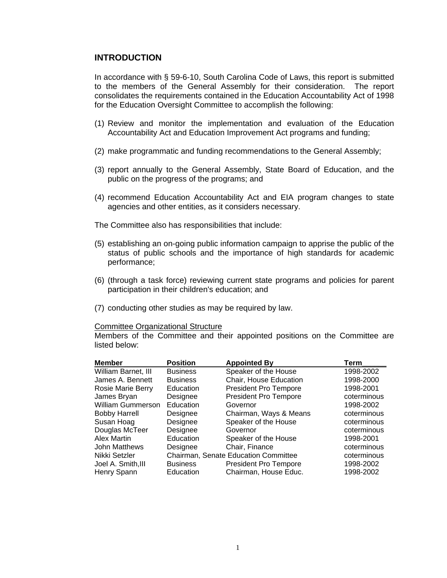#### **INTRODUCTION**

In accordance with § 59-6-10, South Carolina Code of Laws, this report is submitted to the members of the General Assembly for their consideration. The report consolidates the requirements contained in the Education Accountability Act of 1998 for the Education Oversight Committee to accomplish the following:

- (1) Review and monitor the implementation and evaluation of the Education Accountability Act and Education Improvement Act programs and funding;
- (2) make programmatic and funding recommendations to the General Assembly;
- (3) report annually to the General Assembly, State Board of Education, and the public on the progress of the programs; and
- (4) recommend Education Accountability Act and EIA program changes to state agencies and other entities, as it considers necessary.

The Committee also has responsibilities that include:

- (5) establishing an on-going public information campaign to apprise the public of the status of public schools and the importance of high standards for academic performance;
- (6) (through a task force) reviewing current state programs and policies for parent participation in their children's education; and
- (7) conducting other studies as may be required by law.

#### Committee Organizational Structure

Members of the Committee and their appointed positions on the Committee are listed below:

| <b>Member</b>            | <b>Position</b> | <b>Appointed By</b>                  | Term        |
|--------------------------|-----------------|--------------------------------------|-------------|
| William Barnet, III      | <b>Business</b> | Speaker of the House                 | 1998-2002   |
| James A. Bennett         | <b>Business</b> | Chair, House Education               | 1998-2000   |
| <b>Rosie Marie Berry</b> | Education       | <b>President Pro Tempore</b>         | 1998-2001   |
| James Bryan              | Designee        | <b>President Pro Tempore</b>         | coterminous |
| William Gummerson        | Education       | Governor                             | 1998-2002   |
| <b>Bobby Harrell</b>     | Designee        | Chairman, Ways & Means               | coterminous |
| Susan Hoag               | Designee        | Speaker of the House                 | coterminous |
| Douglas McTeer           | Designee        | Governor                             | coterminous |
| Alex Martin              | Education       | Speaker of the House                 | 1998-2001   |
| <b>John Matthews</b>     | Designee        | Chair, Finance                       | coterminous |
| Nikki Setzler            |                 | Chairman, Senate Education Committee | coterminous |
| Joel A. Smith, III       | <b>Business</b> | <b>President Pro Tempore</b>         | 1998-2002   |
| Henry Spann              | Education       | Chairman, House Educ.                | 1998-2002   |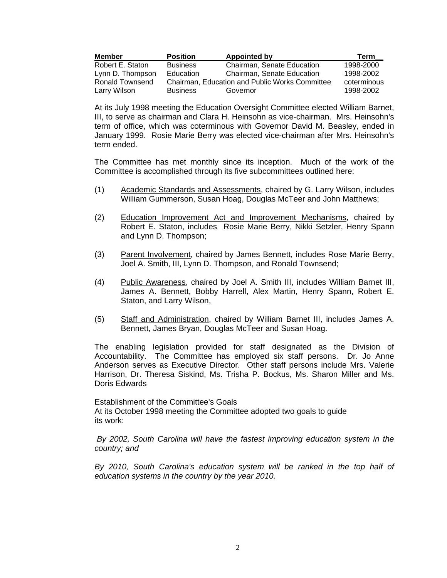| <b>Member</b>    | <b>Position</b>  | Appointed by                                          | Term        |
|------------------|------------------|-------------------------------------------------------|-------------|
| Robert E. Staton | <b>Business</b>  | Chairman, Senate Education                            | 1998-2000   |
| Lynn D. Thompson | <b>Education</b> | Chairman, Senate Education                            | 1998-2002   |
| Ronald Townsend  |                  | <b>Chairman. Education and Public Works Committee</b> | coterminous |
| Larry Wilson     | <b>Business</b>  | Governor                                              | 1998-2002   |

At its July 1998 meeting the Education Oversight Committee elected William Barnet, III, to serve as chairman and Clara H. Heinsohn as vice-chairman. Mrs. Heinsohn's term of office, which was coterminous with Governor David M. Beasley, ended in January 1999. Rosie Marie Berry was elected vice-chairman after Mrs. Heinsohn's term ended.

The Committee has met monthly since its inception. Much of the work of the Committee is accomplished through its five subcommittees outlined here:

- (1) Academic Standards and Assessments, chaired by G. Larry Wilson, includes William Gummerson, Susan Hoag, Douglas McTeer and John Matthews;
- (2) Education Improvement Act and Improvement Mechanisms, chaired by Robert E. Staton, includes Rosie Marie Berry, Nikki Setzler, Henry Spann and Lynn D. Thompson;
- (3) Parent Involvement, chaired by James Bennett, includes Rose Marie Berry, Joel A. Smith, III, Lynn D. Thompson, and Ronald Townsend;
- (4) Public Awareness, chaired by Joel A. Smith III, includes William Barnet III, James A. Bennett, Bobby Harrell, Alex Martin, Henry Spann, Robert E. Staton, and Larry Wilson,
- (5) Staff and Administration, chaired by William Barnet III, includes James A. Bennett, James Bryan, Douglas McTeer and Susan Hoag.

The enabling legislation provided for staff designated as the Division of Accountability. The Committee has employed six staff persons. Dr. Jo Anne Anderson serves as Executive Director. Other staff persons include Mrs. Valerie Harrison, Dr. Theresa Siskind, Ms. Trisha P. Bockus, Ms. Sharon Miller and Ms. Doris Edwards

Establishment of the Committee's Goals At its October 1998 meeting the Committee adopted two goals to guide its work:

*By 2002, South Carolina will have the fastest improving education system in the country; and* 

By 2010, South Carolina's education system will be ranked in the top half of *education systems in the country by the year 2010.*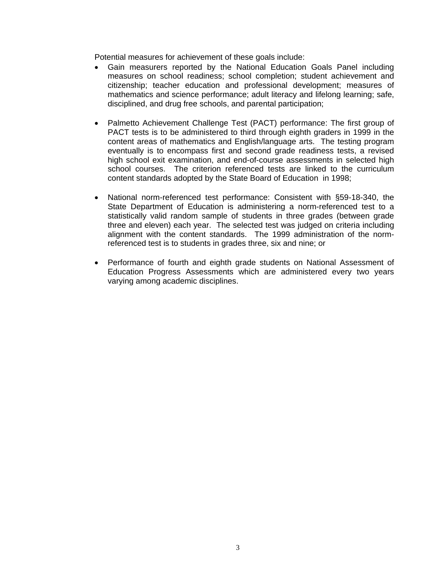Potential measures for achievement of these goals include:

- Gain measurers reported by the National Education Goals Panel including measures on school readiness; school completion; student achievement and citizenship; teacher education and professional development; measures of mathematics and science performance; adult literacy and lifelong learning; safe, disciplined, and drug free schools, and parental participation;
- Palmetto Achievement Challenge Test (PACT) performance: The first group of PACT tests is to be administered to third through eighth graders in 1999 in the content areas of mathematics and English/language arts. The testing program eventually is to encompass first and second grade readiness tests, a revised high school exit examination, and end-of-course assessments in selected high school courses. The criterion referenced tests are linked to the curriculum content standards adopted by the State Board of Education in 1998;
- National norm-referenced test performance: Consistent with §59-18-340, the State Department of Education is administering a norm-referenced test to a statistically valid random sample of students in three grades (between grade three and eleven) each year. The selected test was judged on criteria including alignment with the content standards. The 1999 administration of the normreferenced test is to students in grades three, six and nine; or
- Performance of fourth and eighth grade students on National Assessment of Education Progress Assessments which are administered every two years varying among academic disciplines.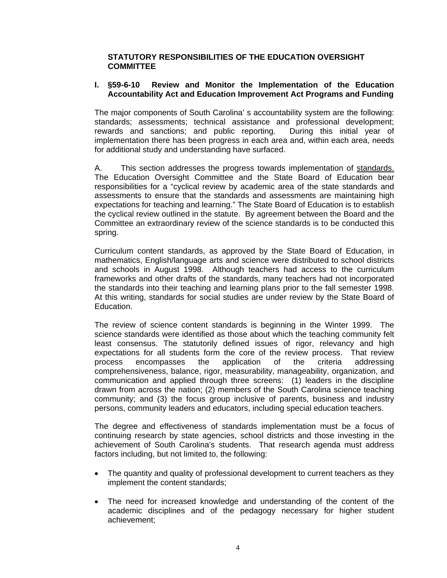#### **STATUTORY RESPONSIBILITIES OF THE EDUCATION OVERSIGHT COMMITTEE**

#### **I. §59-6-10 Review and Monitor the Implementation of the Education Accountability Act and Education Improvement Act Programs and Funding**

The major components of South Carolina' s accountability system are the following: standards; assessments; technical assistance and professional development; rewards and sanctions; and public reporting. implementation there has been progress in each area and, within each area, needs for additional study and understanding have surfaced.

A. This section addresses the progress towards implementation of standards. The Education Oversight Committee and the State Board of Education bear responsibilities for a "cyclical review by academic area of the state standards and assessments to ensure that the standards and assessments are maintaining high expectations for teaching and learning." The State Board of Education is to establish the cyclical review outlined in the statute. By agreement between the Board and the Committee an extraordinary review of the science standards is to be conducted this spring.

Curriculum content standards, as approved by the State Board of Education, in mathematics, English/language arts and science were distributed to school districts and schools in August 1998. Although teachers had access to the curriculum frameworks and other drafts of the standards, many teachers had not incorporated the standards into their teaching and learning plans prior to the fall semester 1998. At this writing, standards for social studies are under review by the State Board of Education.

The review of science content standards is beginning in the Winter 1999. The science standards were identified as those about which the teaching community felt least consensus. The statutorily defined issues of rigor, relevancy and high expectations for all students form the core of the review process. That review process encompasses the application of the criteria addressing comprehensiveness, balance, rigor, measurability, manageability, organization, and communication and applied through three screens: (1) leaders in the discipline drawn from across the nation; (2) members of the South Carolina science teaching community; and (3) the focus group inclusive of parents, business and industry persons, community leaders and educators, including special education teachers.

The degree and effectiveness of standards implementation must be a focus of continuing research by state agencies, school districts and those investing in the achievement of South Carolina's students. That research agenda must address factors including, but not limited to, the following:

- The quantity and quality of professional development to current teachers as they implement the content standards;
- The need for increased knowledge and understanding of the content of the academic disciplines and of the pedagogy necessary for higher student achievement;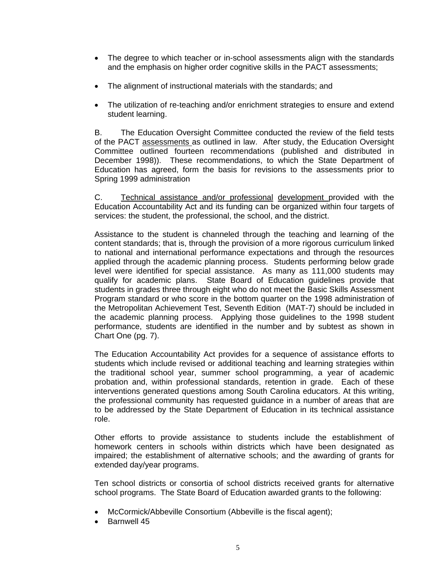- The degree to which teacher or in-school assessments align with the standards and the emphasis on higher order cognitive skills in the PACT assessments;
- The alignment of instructional materials with the standards; and
- The utilization of re-teaching and/or enrichment strategies to ensure and extend student learning.

B. The Education Oversight Committee conducted the review of the field tests of the PACT assessments as outlined in law. After study, the Education Oversight Committee outlined fourteen recommendations (published and distributed in December 1998)). These recommendations, to which the State Department of Education has agreed, form the basis for revisions to the assessments prior to Spring 1999 administration

C. Technical assistance and/or professional development provided with the Education Accountability Act and its funding can be organized within four targets of services: the student, the professional, the school, and the district.

Assistance to the student is channeled through the teaching and learning of the content standards; that is, through the provision of a more rigorous curriculum linked to national and international performance expectations and through the resources applied through the academic planning process. Students performing below grade level were identified for special assistance. As many as 111,000 students may qualify for academic plans. State Board of Education guidelines provide that students in grades three through eight who do not meet the Basic Skills Assessment Program standard or who score in the bottom quarter on the 1998 administration of the Metropolitan Achievement Test, Seventh Edition (MAT-7) should be included in the academic planning process. Applying those guidelines to the 1998 student performance, students are identified in the number and by subtest as shown in Chart One (pg. 7).

The Education Accountability Act provides for a sequence of assistance efforts to students which include revised or additional teaching and learning strategies within the traditional school year, summer school programming, a year of academic probation and, within professional standards, retention in grade. Each of these interventions generated questions among South Carolina educators. At this writing, the professional community has requested guidance in a number of areas that are to be addressed by the State Department of Education in its technical assistance role.

Other efforts to provide assistance to students include the establishment of homework centers in schools within districts which have been designated as impaired; the establishment of alternative schools; and the awarding of grants for extended day/year programs.

Ten school districts or consortia of school districts received grants for alternative school programs. The State Board of Education awarded grants to the following:

- McCormick/Abbeville Consortium (Abbeville is the fiscal agent);
- Barnwell 45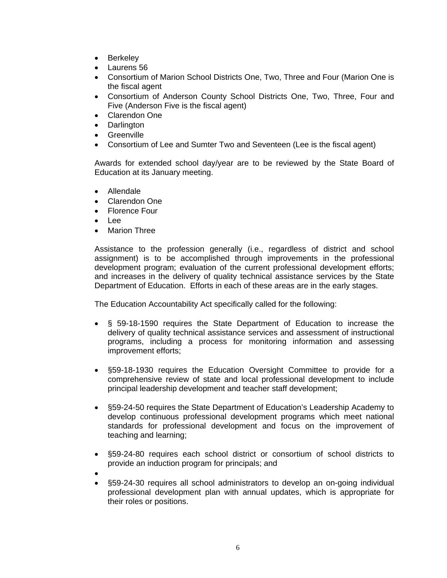- Berkeley
- Laurens 56
- Consortium of Marion School Districts One, Two, Three and Four (Marion One is the fiscal agent
- Consortium of Anderson County School Districts One, Two, Three, Four and Five (Anderson Five is the fiscal agent)
- Clarendon One
- Darlington
- Greenville
- Consortium of Lee and Sumter Two and Seventeen (Lee is the fiscal agent)

Awards for extended school day/year are to be reviewed by the State Board of Education at its January meeting.

- Allendale
- Clarendon One
- Florence Four
- Lee
- Marion Three

Assistance to the profession generally (i.e., regardless of district and school assignment) is to be accomplished through improvements in the professional development program; evaluation of the current professional development efforts; and increases in the delivery of quality technical assistance services by the State Department of Education. Efforts in each of these areas are in the early stages.

The Education Accountability Act specifically called for the following:

- § 59-18-1590 requires the State Department of Education to increase the delivery of quality technical assistance services and assessment of instructional programs, including a process for monitoring information and assessing improvement efforts;
- §59-18-1930 requires the Education Oversight Committee to provide for a comprehensive review of state and local professional development to include principal leadership development and teacher staff development;
- §59-24-50 requires the State Department of Education's Leadership Academy to develop continuous professional development programs which meet national standards for professional development and focus on the improvement of teaching and learning;
- §59-24-80 requires each school district or consortium of school districts to provide an induction program for principals; and
- •
- §59-24-30 requires all school administrators to develop an on-going individual professional development plan with annual updates, which is appropriate for their roles or positions.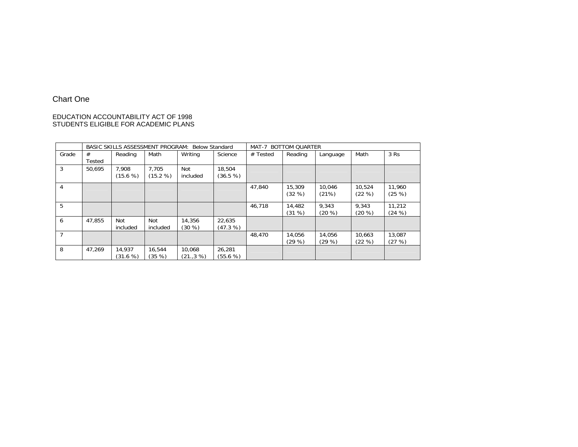#### Chart One

# EDUCATION ACCOUNTABILITY ACT OF 1998 STUDENTS ELIGIBLE FOR ACADEMIC PLANS

|       | BASIC SKILLS ASSESSMENT PROGRAM: Below Standard |          |          |           | <b>BOTTOM QUARTER</b><br>MAT-7 |            |         |           |           |           |
|-------|-------------------------------------------------|----------|----------|-----------|--------------------------------|------------|---------|-----------|-----------|-----------|
| Grade | #                                               | Reading  | Math     | Writing   | Science                        | $#$ Tested | Reading | Language  | Math      | 3 Rs      |
|       | Tested                                          |          |          |           |                                |            |         |           |           |           |
| 3     | 50.695                                          | 7.908    | 7,705    | Not       | 18,504                         |            |         |           |           |           |
|       |                                                 | (15.6 %) | (15.2 %) | included  | (36.5 %)                       |            |         |           |           |           |
| 4     |                                                 |          |          |           |                                | 47,840     | 15,309  | 10,046    | 10,524    | 11,960    |
|       |                                                 |          |          |           |                                |            | (32%)   | (21%)     | (22%)     | (25%)     |
| 5     |                                                 |          |          |           |                                | 46.718     | 14,482  | 9.343     | 9,343     | 11.212    |
|       |                                                 |          |          |           |                                |            | (31%)   | $(20 \%)$ | $(20 \%)$ | $(24 \%)$ |
| 6     | 47.855                                          | Not      | Not      | 14,356    | 22,635                         |            |         |           |           |           |
|       |                                                 | included | included | $(30 \%)$ | (47.3 %)                       |            |         |           |           |           |
| 7     |                                                 |          |          |           |                                | 48,470     | 14,056  | 14.056    | 10,663    | 13,087    |
|       |                                                 |          |          |           |                                |            | (29%)   | (29%)     | (22%)     | (27%)     |
| 8     | 47.269                                          | 14.937   | 16,544   | 10,068    | 26,281                         |            |         |           |           |           |
|       |                                                 | (31.6 %) | (35 %)   | (21.,3%)  | (55.6 %)                       |            |         |           |           |           |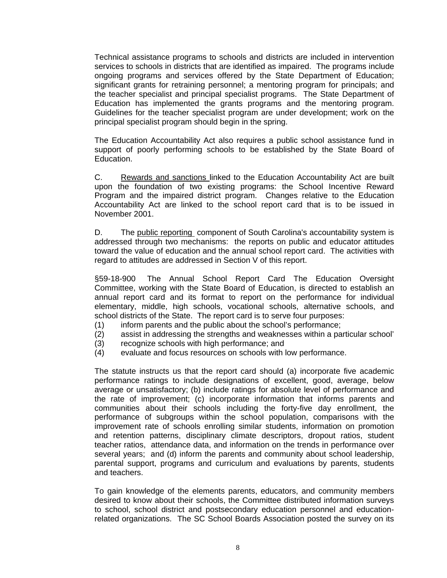Technical assistance programs to schools and districts are included in intervention services to schools in districts that are identified as impaired. The programs include ongoing programs and services offered by the State Department of Education; significant grants for retraining personnel; a mentoring program for principals; and the teacher specialist and principal specialist programs. The State Department of Education has implemented the grants programs and the mentoring program. Guidelines for the teacher specialist program are under development; work on the principal specialist program should begin in the spring.

The Education Accountability Act also requires a public school assistance fund in support of poorly performing schools to be established by the State Board of Education.

C. Rewards and sanctions linked to the Education Accountability Act are built upon the foundation of two existing programs: the School Incentive Reward Program and the impaired district program. Changes relative to the Education Accountability Act are linked to the school report card that is to be issued in November 2001.

D. The public reporting component of South Carolina's accountability system is addressed through two mechanisms: the reports on public and educator attitudes toward the value of education and the annual school report card. The activities with regard to attitudes are addressed in Section V of this report.

§59-18-900 The Annual School Report Card The Education Oversight Committee, working with the State Board of Education, is directed to establish an annual report card and its format to report on the performance for individual elementary, middle, high schools, vocational schools, alternative schools, and school districts of the State. The report card is to serve four purposes:

- (1) inform parents and the public about the school's performance;
- (2) assist in addressing the strengths and weaknesses within a particular school'
- (3) recognize schools with high performance; and
- (4) evaluate and focus resources on schools with low performance.

The statute instructs us that the report card should (a) incorporate five academic performance ratings to include designations of excellent, good, average, below average or unsatisfactory; (b) include ratings for absolute level of performance and the rate of improvement; (c) incorporate information that informs parents and communities about their schools including the forty-five day enrollment, the performance of subgroups within the school population, comparisons with the improvement rate of schools enrolling similar students, information on promotion and retention patterns, disciplinary climate descriptors, dropout ratios, student teacher ratios, attendance data, and information on the trends in performance over several years; and (d) inform the parents and community about school leadership, parental support, programs and curriculum and evaluations by parents, students and teachers.

To gain knowledge of the elements parents, educators, and community members desired to know about their schools, the Committee distributed information surveys to school, school district and postsecondary education personnel and educationrelated organizations. The SC School Boards Association posted the survey on its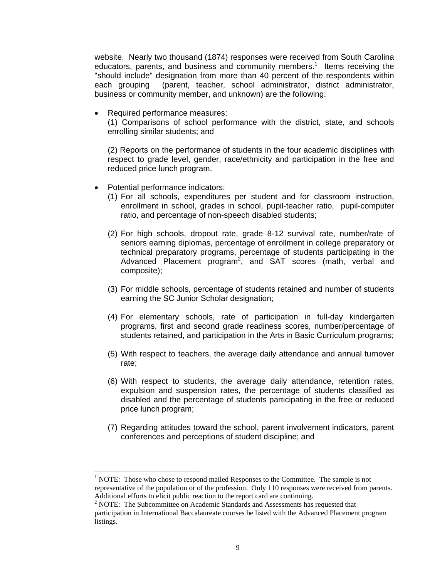website. Nearly two thousand (1874) responses were received from South Carolina educators, parents, and business and community members.<sup>1</sup> Items receiving the "should include" designation from more than 40 percent of the respondents within each grouping (parent, teacher, school administrator, district administrator, business or community member, and unknown) are the following:

Required performance measures:

(1) Comparisons of school performance with the district, state, and schools enrolling similar students; and

(2) Reports on the performance of students in the four academic disciplines with respect to grade level, gender, race/ethnicity and participation in the free and reduced price lunch program.

• Potential performance indicators:

 $\overline{a}$ 

- (1) For all schools, expenditures per student and for classroom instruction, enrollment in school, grades in school, pupil-teacher ratio, pupil-computer ratio, and percentage of non-speech disabled students;
- (2) For high schools, dropout rate, grade 8-12 survival rate, number/rate of seniors earning diplomas, percentage of enrollment in college preparatory or technical preparatory programs, percentage of students participating in the Advanced Placement program<sup>2</sup>, and SAT scores (math, verbal and composite);
- (3) For middle schools, percentage of students retained and number of students earning the SC Junior Scholar designation;
- (4) For elementary schools, rate of participation in full-day kindergarten programs, first and second grade readiness scores, number/percentage of students retained, and participation in the Arts in Basic Curriculum programs;
- (5) With respect to teachers, the average daily attendance and annual turnover rate;
- (6) With respect to students, the average daily attendance, retention rates, expulsion and suspension rates, the percentage of students classified as disabled and the percentage of students participating in the free or reduced price lunch program;
- (7) Regarding attitudes toward the school, parent involvement indicators, parent conferences and perceptions of student discipline; and

<sup>&</sup>lt;sup>1</sup> NOTE: Those who chose to respond mailed Responses to the Committee. The sample is not representative of the population or of the profession. Only 110 responses were received from parents. Additional efforts to elicit public reaction to the report card are continuing. 2

<sup>&</sup>lt;sup>2</sup> NOTE: The Subcommittee on Academic Standards and Assessments has requested that participation in International Baccalaureate courses be listed with the Advanced Placement program listings.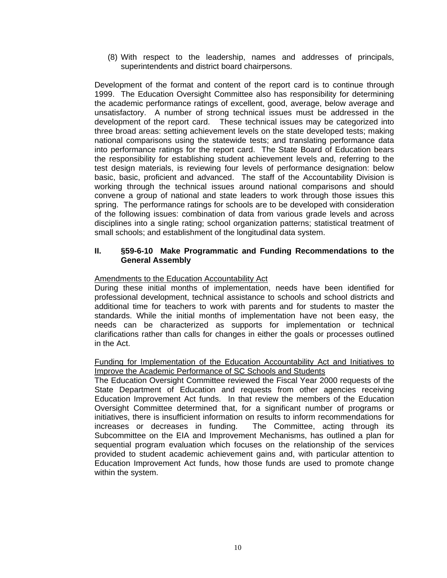(8) With respect to the leadership, names and addresses of principals, superintendents and district board chairpersons.

Development of the format and content of the report card is to continue through 1999. The Education Oversight Committee also has responsibility for determining the academic performance ratings of excellent, good, average, below average and unsatisfactory. A number of strong technical issues must be addressed in the development of the report card. These technical issues may be categorized into three broad areas: setting achievement levels on the state developed tests; making national comparisons using the statewide tests; and translating performance data into performance ratings for the report card. The State Board of Education bears the responsibility for establishing student achievement levels and, referring to the test design materials, is reviewing four levels of performance designation: below basic, basic, proficient and advanced. The staff of the Accountability Division is working through the technical issues around national comparisons and should convene a group of national and state leaders to work through those issues this spring. The performance ratings for schools are to be developed with consideration of the following issues: combination of data from various grade levels and across disciplines into a single rating; school organization patterns; statistical treatment of small schools; and establishment of the longitudinal data system.

#### **II. §59-6-10 Make Programmatic and Funding Recommendations to the General Assembly**

#### Amendments to the Education Accountability Act

During these initial months of implementation, needs have been identified for professional development, technical assistance to schools and school districts and additional time for teachers to work with parents and for students to master the standards. While the initial months of implementation have not been easy, the needs can be characterized as supports for implementation or technical clarifications rather than calls for changes in either the goals or processes outlined in the Act.

Funding for Implementation of the Education Accountability Act and Initiatives to Improve the Academic Performance of SC Schools and Students

The Education Oversight Committee reviewed the Fiscal Year 2000 requests of the State Department of Education and requests from other agencies receiving Education Improvement Act funds. In that review the members of the Education Oversight Committee determined that, for a significant number of programs or initiatives, there is insufficient information on results to inform recommendations for increases or decreases in funding. The Committee, acting through its Subcommittee on the EIA and Improvement Mechanisms, has outlined a plan for sequential program evaluation which focuses on the relationship of the services provided to student academic achievement gains and, with particular attention to Education Improvement Act funds, how those funds are used to promote change within the system.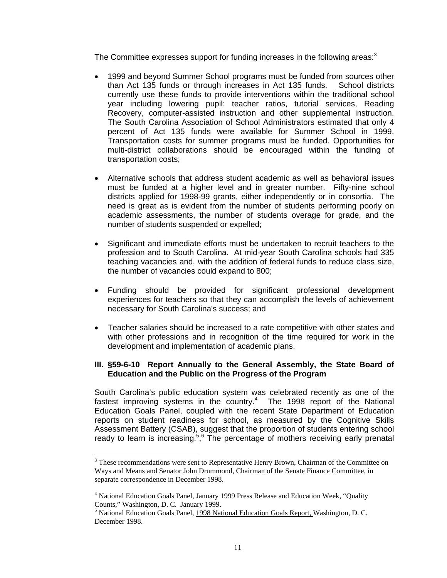The Committee expresses support for funding increases in the following areas: $3$ 

- 1999 and beyond Summer School programs must be funded from sources other than Act 135 funds or through increases in Act 135 funds. School districts currently use these funds to provide interventions within the traditional school year including lowering pupil: teacher ratios, tutorial services, Reading Recovery, computer-assisted instruction and other supplemental instruction. The South Carolina Association of School Administrators estimated that only 4 percent of Act 135 funds were available for Summer School in 1999. Transportation costs for summer programs must be funded. Opportunities for multi-district collaborations should be encouraged within the funding of transportation costs;
- Alternative schools that address student academic as well as behavioral issues must be funded at a higher level and in greater number. Fifty-nine school districts applied for 1998-99 grants, either independently or in consortia. The need is great as is evident from the number of students performing poorly on academic assessments, the number of students overage for grade, and the number of students suspended or expelled;
- Significant and immediate efforts must be undertaken to recruit teachers to the profession and to South Carolina. At mid-year South Carolina schools had 335 teaching vacancies and, with the addition of federal funds to reduce class size, the number of vacancies could expand to 800;
- Funding should be provided for significant professional development experiences for teachers so that they can accomplish the levels of achievement necessary for South Carolina's success; and
- Teacher salaries should be increased to a rate competitive with other states and with other professions and in recognition of the time required for work in the development and implementation of academic plans.

#### **III. §59-6-10 Report Annually to the General Assembly, the State Board of Education and the Public on the Progress of the Program**

South Carolina's public education system was celebrated recently as one of the fastest improving systems in the country. $4$  The 1998 report of the National Education Goals Panel, coupled with the recent State Department of Education reports on student readiness for school, as measured by the Cognitive Skills Assessment Battery (CSAB), suggest that the proportion of students entering school ready to learn is increasing.<sup>5,6</sup> The percentage of mothers receiving early prenatal

-

 $3$  These recommendations were sent to Representative Henry Brown, Chairman of the Committee on Ways and Means and Senator John Drummond, Chairman of the Senate Finance Committee, in separate correspondence in December 1998.

<sup>&</sup>lt;sup>4</sup> National Education Goals Panel, January 1999 Press Release and Education Week, "Quality Counts," Washington, D. C. January 1999.

<sup>&</sup>lt;sup>5</sup> National Education Goals Panel, 1998 National Education Goals Report, Washington, D. C. December 1998.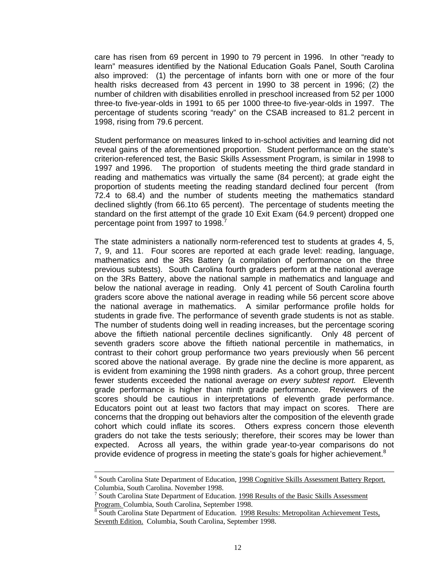care has risen from 69 percent in 1990 to 79 percent in 1996. In other "ready to learn" measures identified by the National Education Goals Panel, South Carolina also improved: (1) the percentage of infants born with one or more of the four health risks decreased from 43 percent in 1990 to 38 percent in 1996; (2) the number of children with disabilities enrolled in preschool increased from 52 per 1000 three-to five-year-olds in 1991 to 65 per 1000 three-to five-year-olds in 1997. The percentage of students scoring "ready" on the CSAB increased to 81.2 percent in 1998, rising from 79.6 percent.

Student performance on measures linked to in-school activities and learning did not reveal gains of the aforementioned proportion. Student performance on the state's criterion-referenced test, the Basic Skills Assessment Program, is similar in 1998 to 1997 and 1996. The proportion of students meeting the third grade standard in reading and mathematics was virtually the same (84 percent); at grade eight the proportion of students meeting the reading standard declined four percent (from 72.4 to 68.4) and the number of students meeting the mathematics standard declined slightly (from 66.1to 65 percent). The percentage of students meeting the standard on the first attempt of the grade 10 Exit Exam (64.9 percent) dropped one percentage point from 1997 to 1998.

The state administers a nationally norm-referenced test to students at grades 4, 5, 7, 9, and 11. Four scores are reported at each grade level: reading, language, mathematics and the 3Rs Battery (a compilation of performance on the three previous subtests). South Carolina fourth graders perform at the national average on the 3Rs Battery, above the national sample in mathematics and language and below the national average in reading. Only 41 percent of South Carolina fourth graders score above the national average in reading while 56 percent score above the national average in mathematics. A similar performance profile holds for students in grade five. The performance of seventh grade students is not as stable. The number of students doing well in reading increases, but the percentage scoring above the fiftieth national percentile declines significantly. Only 48 percent of seventh graders score above the fiftieth national percentile in mathematics, in contrast to their cohort group performance two years previously when 56 percent scored above the national average. By grade nine the decline is more apparent, as is evident from examining the 1998 ninth graders. As a cohort group, three percent fewer students exceeded the national average *on every subtest report.* Eleventh grade performance is higher than ninth grade performance. Reviewers of the scores should be cautious in interpretations of eleventh grade performance. Educators point out at least two factors that may impact on scores. There are concerns that the dropping out behaviors alter the composition of the eleventh grade cohort which could inflate its scores. Others express concern those eleventh graders do not take the tests seriously; therefore, their scores may be lower than expected. Across all years, the within grade year-to-year comparisons do not provide evidence of progress in meeting the state's goals for higher achievement.<sup>8</sup>

 <sup>6</sup>  $6$  South Carolina State Department of Education, 1998 Cognitive Skills Assessment Battery Report. Columbia, South Carolina. November 1998.

<sup>&</sup>lt;sup>7</sup> South Carolina State Department of Education. 1998 Results of the Basic Skills Assessment Program. Columbia, South Carolina, September 1998.

<sup>&</sup>lt;sup>8</sup> South Carolina State Department of Education. 1998 Results: Metropolitan Achievement Tests, Seventh Edition. Columbia, South Carolina, September 1998.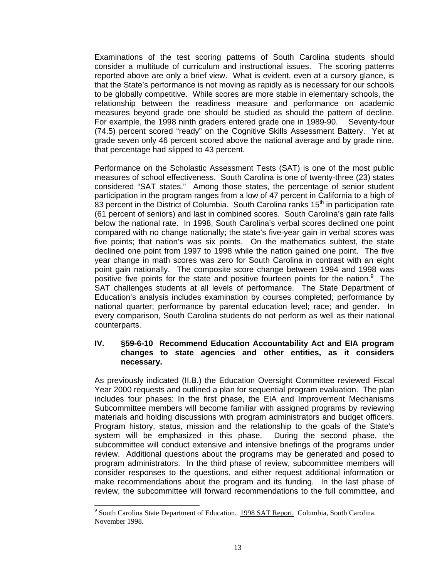Examinations of the test scoring patterns of South Carolina students should consider a multitude of curriculum and instructional issues. The scoring patterns reported above are only a brief view. What is evident, even at a cursory glance, is that the State's performance is not moving as rapidly as is necessary for our schools to be globally competitive. While scores are more stable in elementary schools, the relationship between the readiness measure and performance on academic measures beyond grade one should be studied as should the pattern of decline. For example, the 1998 ninth graders entered grade one in 1989-90. Seventy-four (74.5) percent scored "ready" on the Cognitive Skills Assessment Battery. Yet at grade seven only 46 percent scored above the national average and by grade nine, that percentage had slipped to 43 percent.

Performance on the Scholastic Assessment Tests (SAT) is one of the most public measures of school effectiveness. South Carolina is one of twenty-three (23) states considered "SAT states." Among those states, the percentage of senior student participation in the program ranges from a low of 47 percent in California to a high of 83 percent in the District of Columbia. South Carolina ranks  $15<sup>th</sup>$  in participation rate (61 percent of seniors) and last in combined scores. South Carolina's gain rate falls below the national rate. In 1998, South Carolina's verbal scores declined one point compared with no change nationally; the state's five-year gain in verbal scores was five points; that nation's was six points. On the mathematics subtest, the state declined one point from 1997 to 1998 while the nation gained one point. The five year change in math scores was zero for South Carolina in contrast with an eight point gain nationally. The composite score change between 1994 and 1998 was positive five points for the state and positive fourteen points for the nation. $9$  The SAT challenges students at all levels of performance. The State Department of Education's analysis includes examination by courses completed; performance by national quarter; performance by parental education level; race; and gender. In every comparison, South Carolina students do not perform as well as their national counterparts.

#### **IV. §59-6-10 Recommend Education Accountability Act and EIA program changes to state agencies and other entities, as it considers necessary.**

As previously indicated (II.B.) the Education Oversight Committee reviewed Fiscal Year 2000 requests and outlined a plan for sequential program evaluation. The plan includes four phases: In the first phase, the EIA and Improvement Mechanisms Subcommittee members will become familiar with assigned programs by reviewing materials and holding discussions with program administrators and budget officers. Program history, status, mission and the relationship to the goals of the State's system will be emphasized in this phase. During the second phase, the subcommittee will conduct extensive and intensive briefings of the programs under review. Additional questions about the programs may be generated and posed to program administrators. In the third phase of review, subcommittee members will consider responses to the questions, and either request additional information or make recommendations about the program and its funding. In the last phase of review, the subcommittee will forward recommendations to the full committee, and

-

<sup>&</sup>lt;sup>9</sup> South Carolina State Department of Education. 1998 SAT Report. Columbia, South Carolina. November 1998.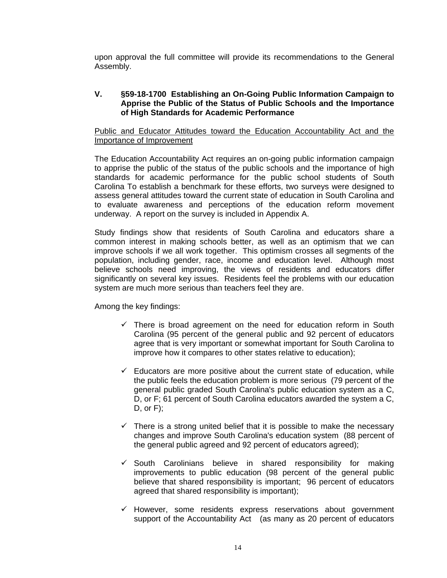upon approval the full committee will provide its recommendations to the General Assembly.

#### **V. §59-18-1700 Establishing an On-Going Public Information Campaign to Apprise the Public of the Status of Public Schools and the Importance of High Standards for Academic Performance**

#### Public and Educator Attitudes toward the Education Accountability Act and the Importance of Improvement

The Education Accountability Act requires an on-going public information campaign to apprise the public of the status of the public schools and the importance of high standards for academic performance for the public school students of South Carolina To establish a benchmark for these efforts, two surveys were designed to assess general attitudes toward the current state of education in South Carolina and to evaluate awareness and perceptions of the education reform movement underway. A report on the survey is included in Appendix A.

Study findings show that residents of South Carolina and educators share a common interest in making schools better, as well as an optimism that we can improve schools if we all work together. This optimism crosses all segments of the population, including gender, race, income and education level. Although most believe schools need improving, the views of residents and educators differ significantly on several key issues. Residents feel the problems with our education system are much more serious than teachers feel they are.

Among the key findings:

- $\checkmark$  There is broad agreement on the need for education reform in South Carolina (95 percent of the general public and 92 percent of educators agree that is very important or somewhat important for South Carolina to improve how it compares to other states relative to education);
- $\checkmark$  Educators are more positive about the current state of education, while the public feels the education problem is more serious (79 percent of the general public graded South Carolina's public education system as a C, D, or F; 61 percent of South Carolina educators awarded the system a C, D, or F);
- $\checkmark$  There is a strong united belief that it is possible to make the necessary changes and improve South Carolina's education system (88 percent of the general public agreed and 92 percent of educators agreed);
- $\checkmark$  South Carolinians believe in shared responsibility for making improvements to public education (98 percent of the general public believe that shared responsibility is important; 96 percent of educators agreed that shared responsibility is important);
- $\checkmark$  However, some residents express reservations about government support of the Accountability Act (as many as 20 percent of educators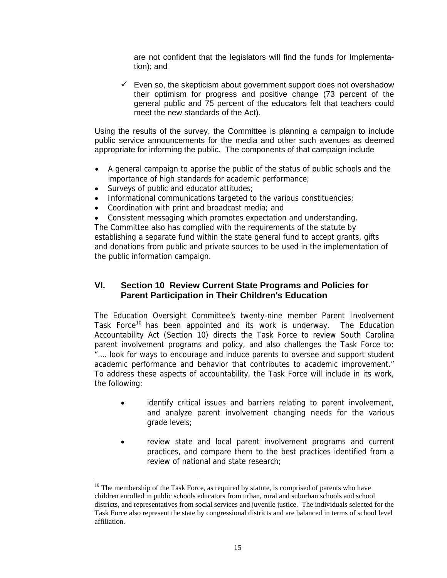are not confident that the legislators will find the funds for Implementation); and

 $\checkmark$  Even so, the skepticism about government support does not overshadow their optimism for progress and positive change (73 percent of the general public and 75 percent of the educators felt that teachers could meet the new standards of the Act).

Using the results of the survey, the Committee is planning a campaign to include public service announcements for the media and other such avenues as deemed appropriate for informing the public. The components of that campaign include

- A general campaign to apprise the public of the status of public schools and the importance of high standards for academic performance;
- Surveys of public and educator attitudes;

-

- Informational communications targeted to the various constituencies;
- Coordination with print and broadcast media; and

• Consistent messaging which promotes expectation and understanding. The Committee also has complied with the requirements of the statute by establishing a separate fund within the state general fund to accept grants, gifts

and donations from public and private sources to be used in the implementation of the public information campaign.

### **VI. Section 10 Review Current State Programs and Policies for Parent Participation in Their Children's Education**

The Education Oversight Committee's twenty-nine member Parent Involvement Task Force<sup>10</sup> has been appointed and its work is underway. The Education Accountability Act (Section 10) directs the Task Force to review South Carolina parent involvement programs and policy, and also challenges the Task Force to: "…. look for ways to encourage and induce parents to oversee and support student academic performance and behavior that contributes to academic improvement." To address these aspects of accountability, the Task Force will include in its work, the following:

- identify critical issues and barriers relating to parent involvement, and analyze parent involvement changing needs for the various grade levels;
- review state and local parent involvement programs and current practices, and compare them to the best practices identified from a review of national and state research;

 $10$  The membership of the Task Force, as required by statute, is comprised of parents who have children enrolled in public schools educators from urban, rural and suburban schools and school districts, and representatives from social services and juvenile justice. The individuals selected for the Task Force also represent the state by congressional districts and are balanced in terms of school level affiliation.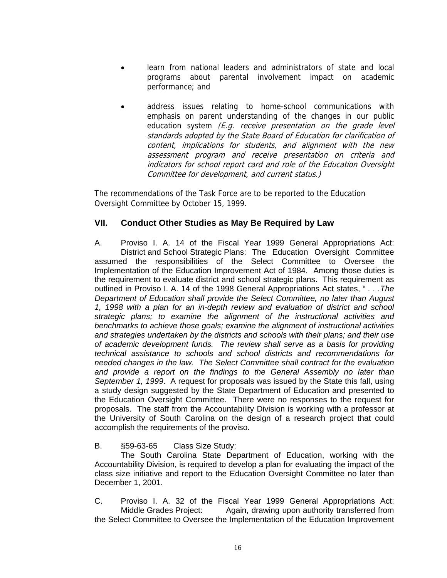- learn from national leaders and administrators of state and local programs about parental involvement impact on academic performance; and
- address issues relating to home-school communications with emphasis on parent understanding of the changes in our public education system (E.g. receive presentation on the grade level standards adopted by the State Board of Education for clarification of content, implications for students, and alignment with the new assessment program and receive presentation on criteria and indicators for school report card and role of the Education Oversight Committee for development, and current status.)

The recommendations of the Task Force are to be reported to the Education Oversight Committee by October 15, 1999.

#### **VII. Conduct Other Studies as May Be Required by Law**

A. Proviso I. A. 14 of the Fiscal Year 1999 General Appropriations Act: District and School Strategic Plans: The Education Oversight Committee assumed the responsibilities of the Select Committee to Oversee the Implementation of the Education Improvement Act of 1984. Among those duties is the requirement to evaluate district and school strategic plans. This requirement as outlined in Proviso I. A. 14 of the 1998 General Appropriations Act states, " *. . .The Department of Education shall provide the Select Committee, no later than August 1, 1998 with a plan for an in-depth review and evaluation of district and school strategic plans; to examine the alignment of the instructional activities and benchmarks to achieve those goals; examine the alignment of instructional activities and strategies undertaken by the districts and schools with their plans; and their use of academic development funds. The review shall serve as a basis for providing technical assistance to schools and school districts and recommendations for needed changes in the law. The Select Committee shall contract for the evaluation and provide a report on the findings to the General Assembly no later than September 1, 1999*. A request for proposals was issued by the State this fall, using a study design suggested by the State Department of Education and presented to the Education Oversight Committee. There were no responses to the request for proposals. The staff from the Accountability Division is working with a professor at the University of South Carolina on the design of a research project that could accomplish the requirements of the proviso.

#### B. §59-63-65 Class Size Study:

 The South Carolina State Department of Education, working with the Accountability Division, is required to develop a plan for evaluating the impact of the class size initiative and report to the Education Oversight Committee no later than December 1, 2001.

C. Proviso I. A. 32 of the Fiscal Year 1999 General Appropriations Act: Middle Grades Project: Again, drawing upon authority transferred from the Select Committee to Oversee the Implementation of the Education Improvement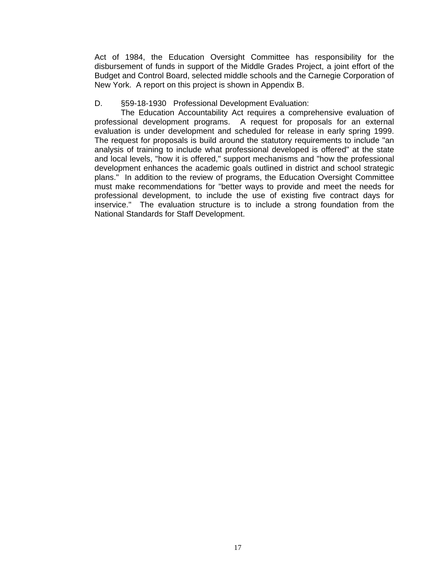Act of 1984, the Education Oversight Committee has responsibility for the disbursement of funds in support of the Middle Grades Project, a joint effort of the Budget and Control Board, selected middle schools and the Carnegie Corporation of New York. A report on this project is shown in Appendix B.

#### D. §59-18-1930 Professional Development Evaluation:

 The Education Accountability Act requires a comprehensive evaluation of professional development programs. A request for proposals for an external evaluation is under development and scheduled for release in early spring 1999. The request for proposals is build around the statutory requirements to include "an analysis of training to include what professional developed is offered" at the state and local levels, "how it is offered," support mechanisms and "how the professional development enhances the academic goals outlined in district and school strategic plans." In addition to the review of programs, the Education Oversight Committee must make recommendations for "better ways to provide and meet the needs for professional development, to include the use of existing five contract days for inservice." The evaluation structure is to include a strong foundation from the National Standards for Staff Development.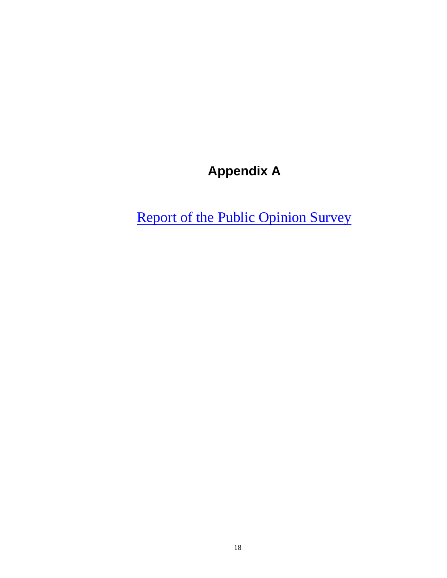# **Appendix A**

Report of the Public Opinion Survey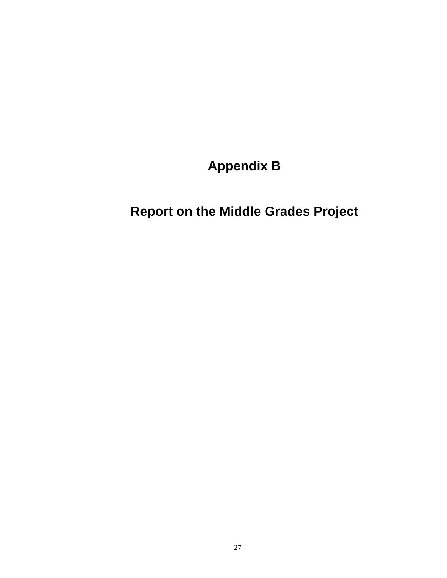**Appendix B** 

**Report on the Middle Grades Project**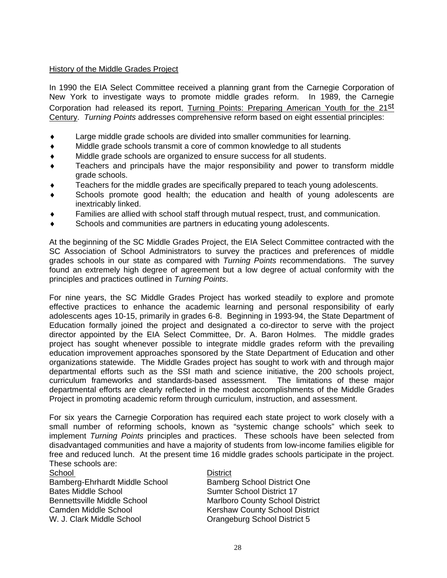#### History of the Middle Grades Project

In 1990 the EIA Select Committee received a planning grant from the Carnegie Corporation of New York to investigate ways to promote middle grades reform. In 1989, the Carnegie Corporation had released its report, Turning Points: Preparing American Youth for the 21<sup>St</sup> Century. *Turning Points* addresses comprehensive reform based on eight essential principles:

- Large middle grade schools are divided into smaller communities for learning.
- ♦ Middle grade schools transmit a core of common knowledge to all students
- Middle grade schools are organized to ensure success for all students.
- Teachers and principals have the major responsibility and power to transform middle grade schools.
- Teachers for the middle grades are specifically prepared to teach young adolescents.
- Schools promote good health; the education and health of young adolescents are inextricably linked.
- Families are allied with school staff through mutual respect, trust, and communication.
- Schools and communities are partners in educating young adolescents.

At the beginning of the SC Middle Grades Project, the EIA Select Committee contracted with the SC Association of School Administrators to survey the practices and preferences of middle grades schools in our state as compared with *Turning Points* recommendations. The survey found an extremely high degree of agreement but a low degree of actual conformity with the principles and practices outlined in *Turning Points*.

For nine years, the SC Middle Grades Project has worked steadily to explore and promote effective practices to enhance the academic learning and personal responsibility of early adolescents ages 10-15, primarily in grades 6-8. Beginning in 1993-94, the State Department of Education formally joined the project and designated a co-director to serve with the project director appointed by the EIA Select Committee, Dr. A. Baron Holmes. The middle grades project has sought whenever possible to integrate middle grades reform with the prevailing education improvement approaches sponsored by the State Department of Education and other organizations statewide. The Middle Grades project has sought to work with and through major departmental efforts such as the SSI math and science initiative, the 200 schools project, curriculum frameworks and standards-based assessment. The limitations of these major departmental efforts are clearly reflected in the modest accomplishments of the Middle Grades Project in promoting academic reform through curriculum, instruction, and assessment.

For six years the Carnegie Corporation has required each state project to work closely with a small number of reforming schools, known as "systemic change schools" which seek to implement *Turning Points* principles and practices. These schools have been selected from disadvantaged communities and have a majority of students from low-income families eligible for free and reduced lunch. At the present time 16 middle grades schools participate in the project. These schools are:

Bamberg-Ehrhardt Middle School Bamberg School District One Bates Middle School Sumter School District 17<br>Bennettsville Middle School Natlboro County School D Camden Middle School **Kershaw County School District** W. J. Clark Middle School **Communist Communist Communist Communist Communist Communist Communist Communist Communist Communist Communist Communist Communist Communist Communist Communist Communist Communist Communist Commu** 

#### School District

**Marlboro County School District**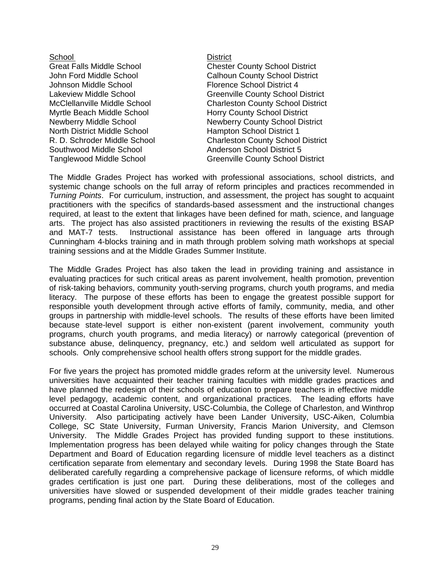# School **District** Johnson Middle School **Florence School District 4** Myrtle Beach Middle School **Horry County School District** North District Middle School **Hampton School District 1** Southwood Middle School **Anderson School District 5**

Great Falls Middle School Chester County School District John Ford Middle School **Calhoun County School District** Lakeview Middle School **Greenville County School District** McClellanville Middle School Charleston County School District Newberry Middle School Newberry County School District R. D. Schroder Middle School Charleston County School District Tanglewood Middle School Greenville County School District

The Middle Grades Project has worked with professional associations, school districts, and systemic change schools on the full array of reform principles and practices recommended in *Turning Points*. For curriculum, instruction, and assessment, the project has sought to acquaint practitioners with the specifics of standards-based assessment and the instructional changes required, at least to the extent that linkages have been defined for math, science, and language arts. The project has also assisted practitioners in reviewing the results of the existing BSAP and MAT-7 tests. Instructional assistance has been offered in language arts through Cunningham 4-blocks training and in math through problem solving math workshops at special training sessions and at the Middle Grades Summer Institute.

The Middle Grades Project has also taken the lead in providing training and assistance in evaluating practices for such critical areas as parent involvement, health promotion, prevention of risk-taking behaviors, community youth-serving programs, church youth programs, and media literacy. The purpose of these efforts has been to engage the greatest possible support for responsible youth development through active efforts of family, community, media, and other groups in partnership with middle-level schools. The results of these efforts have been limited because state-level support is either non-existent (parent involvement, community youth programs, church youth programs, and media literacy) or narrowly categorical (prevention of substance abuse, delinquency, pregnancy, etc.) and seldom well articulated as support for schools. Only comprehensive school health offers strong support for the middle grades.

For five years the project has promoted middle grades reform at the university level. Numerous universities have acquainted their teacher training faculties with middle grades practices and have planned the redesign of their schools of education to prepare teachers in effective middle level pedagogy, academic content, and organizational practices. The leading efforts have occurred at Coastal Carolina University, USC-Columbia, the College of Charleston, and Winthrop University. Also participating actively have been Lander University, USC-Aiken, Columbia College, SC State University, Furman University, Francis Marion University, and Clemson University. The Middle Grades Project has provided funding support to these institutions. Implementation progress has been delayed while waiting for policy changes through the State Department and Board of Education regarding licensure of middle level teachers as a distinct certification separate from elementary and secondary levels. During 1998 the State Board has deliberated carefully regarding a comprehensive package of licensure reforms, of which middle grades certification is just one part. During these deliberations, most of the colleges and universities have slowed or suspended development of their middle grades teacher training programs, pending final action by the State Board of Education.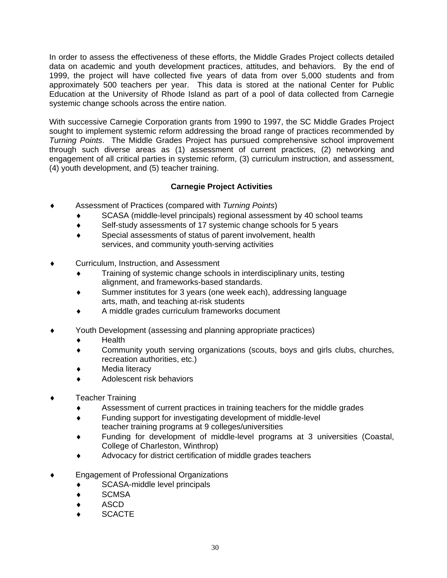In order to assess the effectiveness of these efforts, the Middle Grades Project collects detailed data on academic and youth development practices, attitudes, and behaviors. By the end of 1999, the project will have collected five years of data from over 5,000 students and from approximately 500 teachers per year. This data is stored at the national Center for Public Education at the University of Rhode Island as part of a pool of data collected from Carnegie systemic change schools across the entire nation.

With successive Carnegie Corporation grants from 1990 to 1997, the SC Middle Grades Project sought to implement systemic reform addressing the broad range of practices recommended by *Turning Points*. The Middle Grades Project has pursued comprehensive school improvement through such diverse areas as (1) assessment of current practices, (2) networking and engagement of all critical parties in systemic reform, (3) curriculum instruction, and assessment, (4) youth development, and (5) teacher training.

### **Carnegie Project Activities**

- Assessment of Practices (compared with *Turning Points*)
	- ♦ SCASA (middle-level principals) regional assessment by 40 school teams
	- ♦ Self-study assessments of 17 systemic change schools for 5 years
	- ♦ Special assessments of status of parent involvement, health services, and community youth-serving activities
- Curriculum, Instruction, and Assessment
	- Training of systemic change schools in interdisciplinary units, testing alignment, and frameworks-based standards.
	- ♦ Summer institutes for 3 years (one week each), addressing language arts, math, and teaching at-risk students
	- ♦ A middle grades curriculum frameworks document
- ♦ Youth Development (assessing and planning appropriate practices)
	- ♦ Health
	- ♦ Community youth serving organizations (scouts, boys and girls clubs, churches, recreation authorities, etc.)
	- ♦ Media literacy
	- Adolescent risk behaviors
- **Teacher Training** 
	- ♦ Assessment of current practices in training teachers for the middle grades
	- ♦ Funding support for investigating development of middle-level teacher training programs at 9 colleges/universities
	- Funding for development of middle-level programs at 3 universities (Coastal, College of Charleston, Winthrop)
	- Advocacy for district certification of middle grades teachers
- **Engagement of Professional Organizations** 
	- SCASA-middle level principals
	- ♦ SCMSA
	- ♦ ASCD
	- **SCACTE**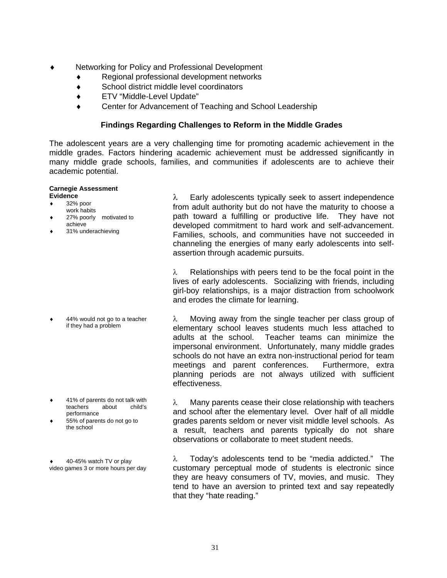- Networking for Policy and Professional Development
	- ♦ Regional professional development networks
	- ♦ School district middle level coordinators
	- ♦ ETV "Middle-Level Update"
	- ♦ Center for Advancement of Teaching and School Leadership

#### **Findings Regarding Challenges to Reform in the Middle Grades**

The adolescent years are a very challenging time for promoting academic achievement in the middle grades. Factors hindering academic achievement must be addressed significantly in many middle grade schools, families, and communities if adolescents are to achieve their academic potential.

#### **Carnegie Assessment Evidence**

- 32% poor
- work habits
- 27% poorly motivated to achieve
- 31% underachieving

44% would not go to a teacher if they had a problem

- 41% of parents do not talk with teachers about child's performance
- $55%$  of parents do not go to the school

40-45% watch TV or play video games 3 or more hours per day λ Early adolescents typically seek to assert independence from adult authority but do not have the maturity to choose a path toward a fulfilling or productive life. They have not developed commitment to hard work and self-advancement. Families, schools, and communities have not succeeded in channeling the energies of many early adolescents into selfassertion through academic pursuits.

 $\lambda$  Relationships with peers tend to be the focal point in the lives of early adolescents. Socializing with friends, including girl-boy relationships, is a major distraction from schoolwork and erodes the climate for learning.

λ Moving away from the single teacher per class group of elementary school leaves students much less attached to adults at the school. Teacher teams can minimize the impersonal environment. Unfortunately, many middle grades schools do not have an extra non-instructional period for team meetings and parent conferences. Furthermore, extra planning periods are not always utilized with sufficient effectiveness.

 $\lambda$  Many parents cease their close relationship with teachers and school after the elementary level. Over half of all middle grades parents seldom or never visit middle level schools. As a result, teachers and parents typically do not share observations or collaborate to meet student needs.

λ Today's adolescents tend to be "media addicted." The customary perceptual mode of students is electronic since they are heavy consumers of TV, movies, and music. They tend to have an aversion to printed text and say repeatedly that they "hate reading."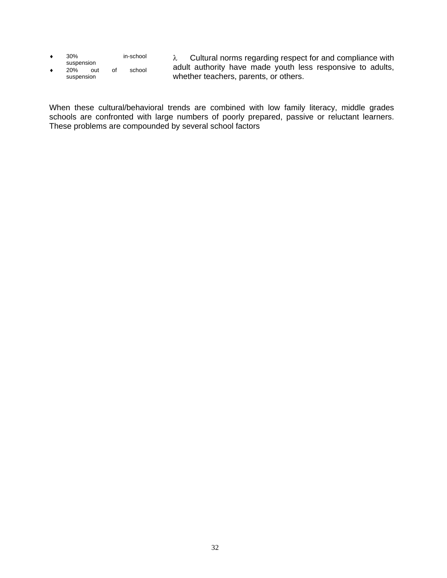- ♦ 30% in-school suspension
- $20\%$  out of school suspension

λ Cultural norms regarding respect for and compliance with adult authority have made youth less responsive to adults, whether teachers, parents, or others.

When these cultural/behavioral trends are combined with low family literacy, middle grades schools are confronted with large numbers of poorly prepared, passive or reluctant learners. These problems are compounded by several school factors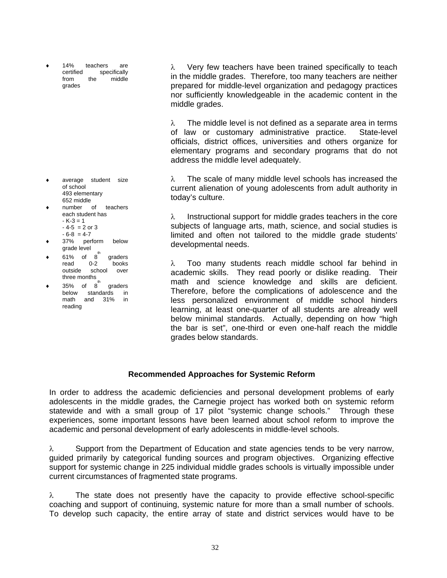14% teachers are certified specifically from the middle grades

- average student size of school 493 elementary 652 middle
- number of teachers each student has  $-K-3 = 1$ 
	- $-4-5 = 2$  or 3
	- $-6-8 = 4-7$
- 37% perform below grade level
- $61\%$  of  $8\degree$ <br>read 0-2 graders read 0-2 books outside school over three months th
- $35\%$  of  $8$ <sup>"</sup> graders below standards in math and 31% in reading

λ Very few teachers have been trained specifically to teach in the middle grades. Therefore, too many teachers are neither prepared for middle-level organization and pedagogy practices nor sufficiently knowledgeable in the academic content in the middle grades.

 $\lambda$  The middle level is not defined as a separate area in terms of law or customary administrative practice. State-level officials, district offices, universities and others organize for elementary programs and secondary programs that do not address the middle level adequately.

λ The scale of many middle level schools has increased the current alienation of young adolescents from adult authority in today's culture.

λ Instructional support for middle grades teachers in the core subjects of language arts, math, science, and social studies is limited and often not tailored to the middle grade students' developmental needs.

λ Too many students reach middle school far behind in academic skills. They read poorly or dislike reading. Their math and science knowledge and skills are deficient. Therefore, before the complications of adolescence and the less personalized environment of middle school hinders learning, at least one-quarter of all students are already well below minimal standards. Actually, depending on how "high the bar is set", one-third or even one-half reach the middle grades below standards.

#### **Recommended Approaches for Systemic Reform**

In order to address the academic deficiencies and personal development problems of early adolescents in the middle grades, the Carnegie project has worked both on systemic reform statewide and with a small group of 17 pilot "systemic change schools." Through these experiences, some important lessons have been learned about school reform to improve the academic and personal development of early adolescents in middle-level schools.

λ Support from the Department of Education and state agencies tends to be very narrow, guided primarily by categorical funding sources and program objectives. Organizing effective support for systemic change in 225 individual middle grades schools is virtually impossible under current circumstances of fragmented state programs.

 $\lambda$  The state does not presently have the capacity to provide effective school-specific coaching and support of continuing, systemic nature for more than a small number of schools. To develop such capacity, the entire array of state and district services would have to be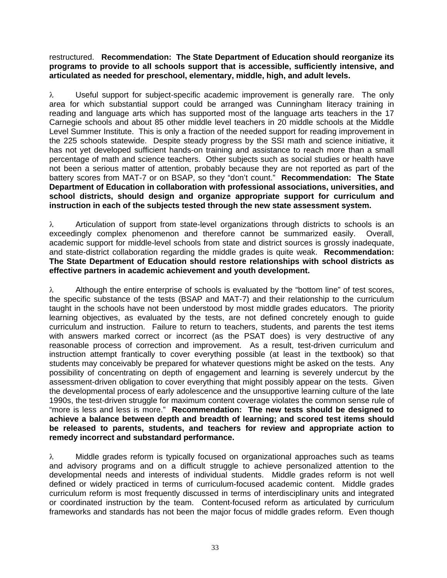restructured. **Recommendation: The State Department of Education should reorganize its programs to provide to all schools support that is accessible, sufficiently intensive, and articulated as needed for preschool, elementary, middle, high, and adult levels.** 

λ Useful support for subject-specific academic improvement is generally rare. The only area for which substantial support could be arranged was Cunningham literacy training in reading and language arts which has supported most of the language arts teachers in the 17 Carnegie schools and about 85 other middle level teachers in 20 middle schools at the Middle Level Summer Institute. This is only a fraction of the needed support for reading improvement in the 225 schools statewide. Despite steady progress by the SSI math and science initiative, it has not yet developed sufficient hands-on training and assistance to reach more than a small percentage of math and science teachers. Other subjects such as social studies or health have not been a serious matter of attention, probably because they are not reported as part of the battery scores from MAT-7 or on BSAP, so they "don't count." **Recommendation: The State Department of Education in collaboration with professional associations, universities, and school districts, should design and organize appropriate support for curriculum and instruction in each of the subjects tested through the new state assessment system.** 

λ Articulation of support from state-level organizations through districts to schools is an exceedingly complex phenomenon and therefore cannot be summarized easily. Overall, academic support for middle-level schools from state and district sources is grossly inadequate, and state-district collaboration regarding the middle grades is quite weak. **Recommendation: The State Department of Education should restore relationships with school districts as effective partners in academic achievement and youth development.** 

 $\lambda$  Although the entire enterprise of schools is evaluated by the "bottom line" of test scores, the specific substance of the tests (BSAP and MAT-7) and their relationship to the curriculum taught in the schools have not been understood by most middle grades educators. The priority learning objectives, as evaluated by the tests, are not defined concretely enough to guide curriculum and instruction. Failure to return to teachers, students, and parents the test items with answers marked correct or incorrect (as the PSAT does) is very destructive of any reasonable process of correction and improvement. As a result, test-driven curriculum and instruction attempt frantically to cover everything possible (at least in the textbook) so that students may conceivably be prepared for whatever questions might be asked on the tests. Any possibility of concentrating on depth of engagement and learning is severely undercut by the assessment-driven obligation to cover everything that might possibly appear on the tests. Given the developmental process of early adolescence and the unsupportive learning culture of the late 1990s, the test-driven struggle for maximum content coverage violates the common sense rule of "more is less and less is more." **Recommendation: The new tests should be designed to achieve a balance between depth and breadth of learning; and scored test items should be released to parents, students, and teachers for review and appropriate action to remedy incorrect and substandard performance.** 

λ Middle grades reform is typically focused on organizational approaches such as teams and advisory programs and on a difficult struggle to achieve personalized attention to the developmental needs and interests of individual students. Middle grades reform is not well defined or widely practiced in terms of curriculum-focused academic content. Middle grades curriculum reform is most frequently discussed in terms of interdisciplinary units and integrated or coordinated instruction by the team. Content-focused reform as articulated by curriculum frameworks and standards has not been the major focus of middle grades reform. Even though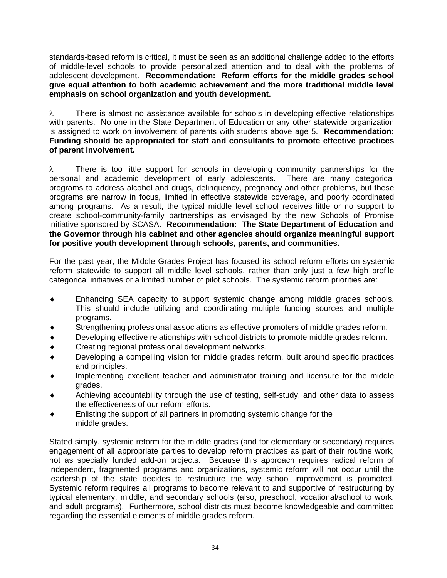standards-based reform is critical, it must be seen as an additional challenge added to the efforts of middle-level schools to provide personalized attention and to deal with the problems of adolescent development. **Recommendation: Reform efforts for the middle grades school give equal attention to both academic achievement and the more traditional middle level emphasis on school organization and youth development.** 

 $\lambda$  There is almost no assistance available for schools in developing effective relationships with parents. No one in the State Department of Education or any other statewide organization is assigned to work on involvement of parents with students above age 5. **Recommendation: Funding should be appropriated for staff and consultants to promote effective practices of parent involvement.** 

λ There is too little support for schools in developing community partnerships for the personal and academic development of early adolescents. There are many categorical programs to address alcohol and drugs, delinquency, pregnancy and other problems, but these programs are narrow in focus, limited in effective statewide coverage, and poorly coordinated among programs. As a result, the typical middle level school receives little or no support to create school-community-family partnerships as envisaged by the new Schools of Promise initiative sponsored by SCASA. **Recommendation: The State Department of Education and the Governor through his cabinet and other agencies should organize meaningful support for positive youth development through schools, parents, and communities.** 

For the past year, the Middle Grades Project has focused its school reform efforts on systemic reform statewide to support all middle level schools, rather than only just a few high profile categorical initiatives or a limited number of pilot schools. The systemic reform priorities are:

- ♦ Enhancing SEA capacity to support systemic change among middle grades schools. This should include utilizing and coordinating multiple funding sources and multiple programs.
- Strengthening professional associations as effective promoters of middle grades reform.
- Developing effective relationships with school districts to promote middle grades reform.
- Creating regional professional development networks.
- Developing a compelling vision for middle grades reform, built around specific practices and principles.
- Implementing excellent teacher and administrator training and licensure for the middle grades.
- Achieving accountability through the use of testing, self-study, and other data to assess the effectiveness of our reform efforts.
- Enlisting the support of all partners in promoting systemic change for the middle grades.

Stated simply, systemic reform for the middle grades (and for elementary or secondary) requires engagement of all appropriate parties to develop reform practices as part of their routine work, not as specially funded add-on projects. Because this approach requires radical reform of independent, fragmented programs and organizations, systemic reform will not occur until the leadership of the state decides to restructure the way school improvement is promoted. Systemic reform requires all programs to become relevant to and supportive of restructuring by typical elementary, middle, and secondary schools (also, preschool, vocational/school to work, and adult programs). Furthermore, school districts must become knowledgeable and committed regarding the essential elements of middle grades reform.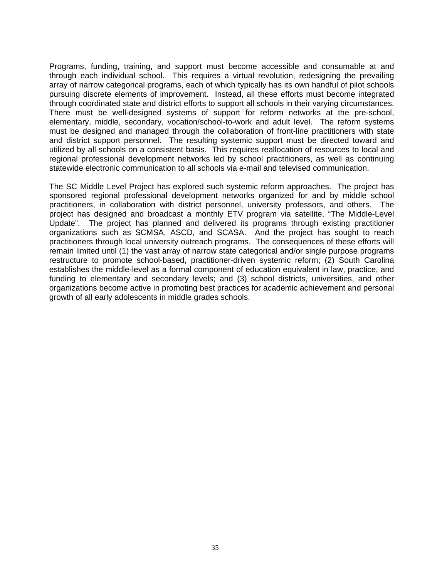Programs, funding, training, and support must become accessible and consumable at and through each individual school. This requires a virtual revolution, redesigning the prevailing array of narrow categorical programs, each of which typically has its own handful of pilot schools pursuing discrete elements of improvement. Instead, all these efforts must become integrated through coordinated state and district efforts to support all schools in their varying circumstances. There must be well-designed systems of support for reform networks at the pre-school, elementary, middle, secondary, vocation/school-to-work and adult level. The reform systems must be designed and managed through the collaboration of front-line practitioners with state and district support personnel. The resulting systemic support must be directed toward and utilized by all schools on a consistent basis. This requires reallocation of resources to local and regional professional development networks led by school practitioners, as well as continuing statewide electronic communication to all schools via e-mail and televised communication.

The SC Middle Level Project has explored such systemic reform approaches. The project has sponsored regional professional development networks organized for and by middle school practitioners, in collaboration with district personnel, university professors, and others. The project has designed and broadcast a monthly ETV program via satellite, "The Middle-Level Update". The project has planned and delivered its programs through existing practitioner organizations such as SCMSA, ASCD, and SCASA. And the project has sought to reach practitioners through local university outreach programs. The consequences of these efforts will remain limited until (1) the vast array of narrow state categorical and/or single purpose programs restructure to promote school-based, practitioner-driven systemic reform; (2) South Carolina establishes the middle-level as a formal component of education equivalent in law, practice, and funding to elementary and secondary levels; and (3) school districts, universities, and other organizations become active in promoting best practices for academic achievement and personal growth of all early adolescents in middle grades schools.